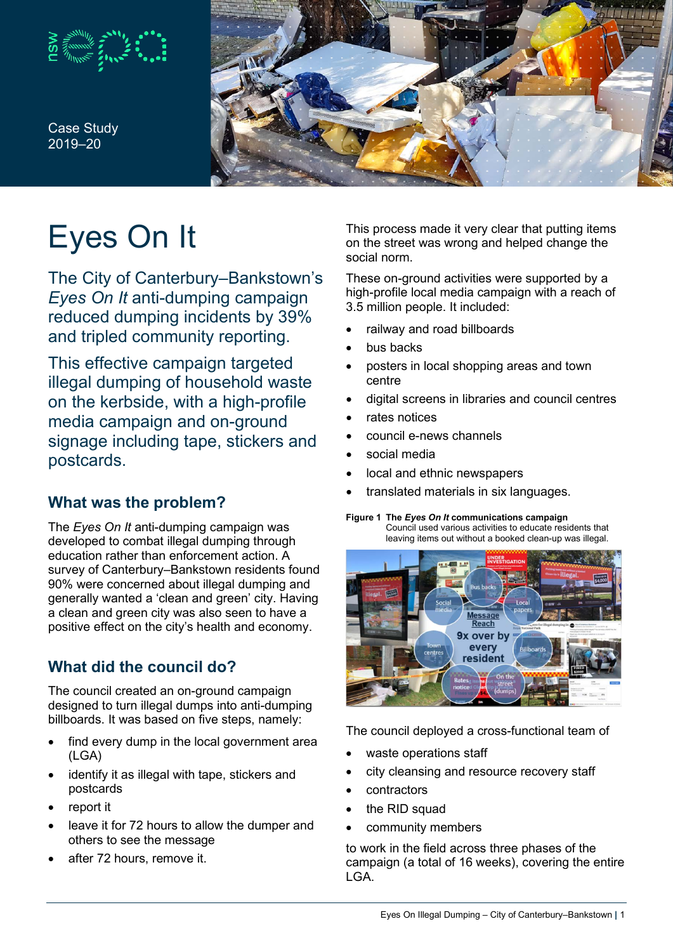

Case Study 2019–20



# Eyes On It

The City of Canterbury–Bankstown's *Eyes On It* anti-dumping campaign reduced dumping incidents by 39% and tripled community reporting.

This effective campaign targeted illegal dumping of household waste on the kerbside, with a high-profile media campaign and on-ground signage including tape, stickers and postcards.

# **What was the problem?**

The *Eyes On It* anti-dumping campaign was developed to combat illegal dumping through education rather than enforcement action. A survey of Canterbury–Bankstown residents found 90% were concerned about illegal dumping and generally wanted a 'clean and green' city. Having a clean and green city was also seen to have a positive effect on the city's health and economy.

# **What did the council do?**

The council created an on-ground campaign designed to turn illegal dumps into anti-dumping billboards. It was based on five steps, namely:

- find every dump in the local government area (LGA)
- identify it as illegal with tape, stickers and postcards
- report it
- leave it for 72 hours to allow the dumper and others to see the message
- after 72 hours, remove it.

This process made it very clear that putting items on the street was wrong and helped change the social norm.

These on-ground activities were supported by a high-profile local media campaign with a reach of 3.5 million people. It included:

- railway and road billboards
- bus backs
- posters in local shopping areas and town centre
- digital screens in libraries and council centres
- rates notices
- council e-news channels
- social media
- local and ethnic newspapers
- translated materials in six languages.

**Figure 1 The** *Eyes On It* **communications campaign**

Council used various activities to educate residents that leaving items out without a booked clean-up was illegal.



The council deployed a cross-functional team of

- waste operations staff
- city cleansing and resource recovery staff
- contractors
- the RID squad
- community members

to work in the field across three phases of the campaign (a total of 16 weeks), covering the entire LGA.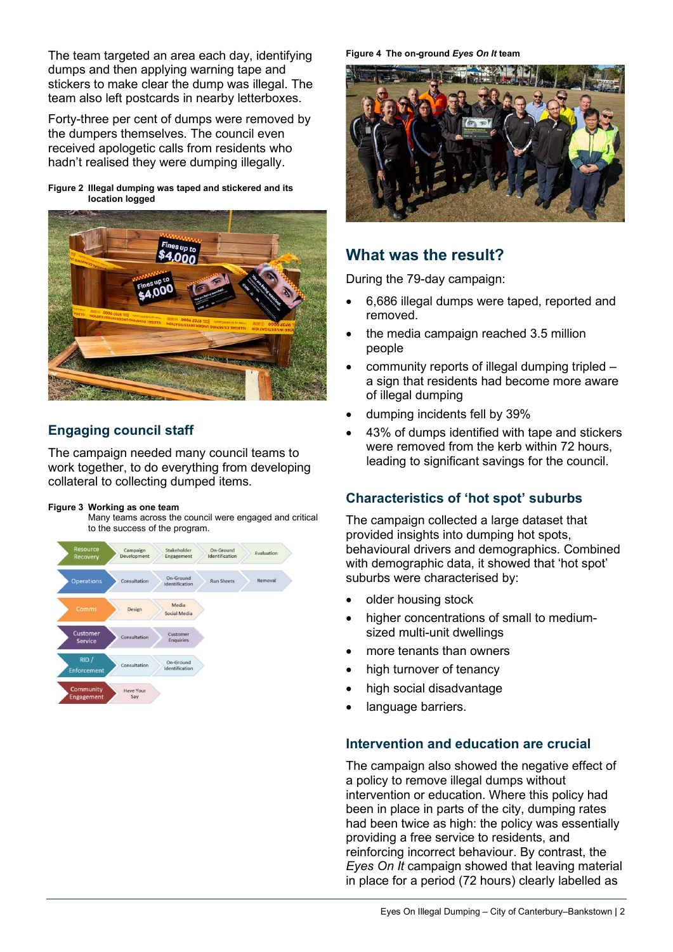The team targeted an area each day, identifying dumps and then applying warning tape and stickers to make clear the dump was illegal. The team also left postcards in nearby letterboxes.

Forty-three per cent of dumps were removed by the dumpers themselves. The council even received apologetic calls from residents who hadn't realised they were dumping illegally.

#### **Figure 2 Illegal dumping was taped and stickered and its location logged**



## **Engaging council staff**

The campaign needed many council teams to work together, to do everything from developing collateral to collecting dumped items.

#### **Figure 3 Working as one team**

Many teams across the council were engaged and critical to the success of the program.



#### **Figure 4 The on-ground** *Eyes On It* **team**



# **What was the result?**

During the 79-day campaign:

- 6,686 illegal dumps were taped, reported and removed.
- the media campaign reached 3.5 million people
- community reports of illegal dumping tripled a sign that residents had become more aware of illegal dumping
- dumping incidents fell by 39%
- 43% of dumps identified with tape and stickers were removed from the kerb within 72 hours, leading to significant savings for the council.

## **Characteristics of 'hot spot' suburbs**

The campaign collected a large dataset that provided insights into dumping hot spots, behavioural drivers and demographics. Combined with demographic data, it showed that 'hot spot' suburbs were characterised by:

- older housing stock
- higher concentrations of small to mediumsized multi-unit dwellings
- more tenants than owners
- high turnover of tenancy
- high social disadvantage
- language barriers.

## **Intervention and education are crucial**

The campaign also showed the negative effect of a policy to remove illegal dumps without intervention or education. Where this policy had been in place in parts of the city, dumping rates had been twice as high: the policy was essentially providing a free service to residents, and reinforcing incorrect behaviour. By contrast, the *Eyes On It* campaign showed that leaving material in place for a period (72 hours) clearly labelled as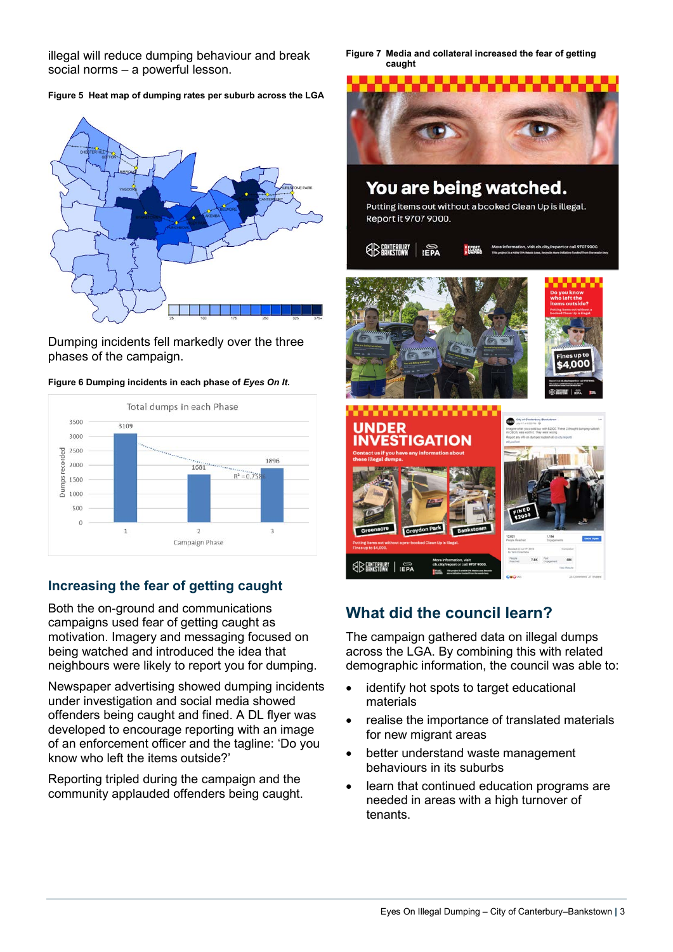illegal will reduce dumping behaviour and break social norms – a powerful lesson.

#### **Figure 5 Heat map of dumping rates per suburb across the LGA**



#### Dumping incidents fell markedly over the three phases of the campaign.

#### **Figure 6 Dumping incidents in each phase of** *Eyes On It***.**



## **Increasing the fear of getting caught**

Both the on-ground and communications campaigns used fear of getting caught as motivation. Imagery and messaging focused on being watched and introduced the idea that neighbours were likely to report you for dumping.

Newspaper advertising showed dumping incidents under investigation and social media showed offenders being caught and fined. A DL flyer was developed to encourage reporting with an image of an enforcement officer and the tagline: 'Do you know who left the items outside?'

Reporting tripled during the campaign and the community applauded offenders being caught. **Figure 7 Media and collateral increased the fear of getting caught**



# **What did the council learn?**

The campaign gathered data on illegal dumps across the LGA. By combining this with related demographic information, the council was able to:

- identify hot spots to target educational materials
- realise the importance of translated materials for new migrant areas
- better understand waste management behaviours in its suburbs
- learn that continued education programs are needed in areas with a high turnover of tenants.